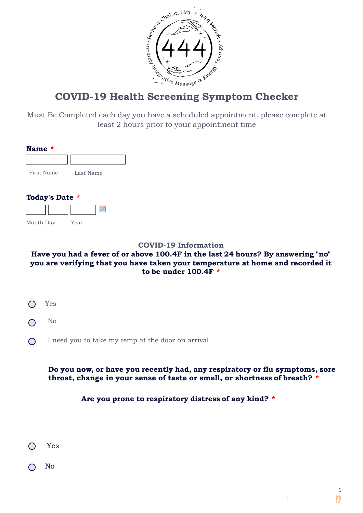

# **COVID-19 Health Screening Symptom Checker**

Must Be Completed each day you have a scheduled appointment, please complete at least 2 hours prior to your appointment time

| <b>Name</b><br>* |           |
|------------------|-----------|
|                  |           |
| First Name       | Last Name |
|                  |           |
| Today's Date *   |           |
|                  |           |
| Month Day        | Year      |
|                  |           |

#### **COVID-19 Information**

## **Have you had a fever of or above 100.4F in the last 24 hours? By answering "no" you are verifying that you have taken your temperature at home and recorded it to be under 100.4F \***

- $\bigcap$ Yes
- No  $\bigcap$
- I need you to take my temp at the door on arrival.  $\bigcap$

## **Do you now, or have you recently had, any respiratory or flu symptoms, sore throat, change in your sense of taste or smell, or shortness of breath? \***

#### **Are you prone to respiratory distress of any kind? \***

- Yes
- No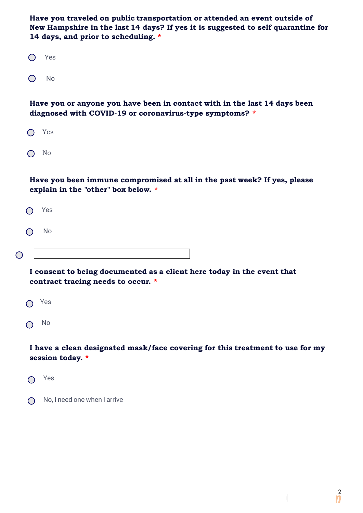**Have you traveled on public transportation or attended an event outside of New Hampshire in the last 14 days? If yes it is suggested to self quarantine for 14 days, and prior to scheduling. \***

| $(\ )$ | Yes |  |
|--------|-----|--|
| ( )    | No  |  |

**Have you or anyone you have been in contact with in the last 14 days been diagnosed with COVID-19 or coronavirus-type symptoms? \***

| l | ٧<br>- 5 |  |  |
|---|----------|--|--|
|   |          |  |  |

 $\bigcap$  No

**Have you been immune compromised at all in the past week? If yes, please explain in the "other" box below. \***

|   | $O$ Yes |  |  |  |
|---|---------|--|--|--|
|   | $O$ No  |  |  |  |
| C |         |  |  |  |

**I consent to being documented as a client here today in the event that contract tracing needs to occur. \***

| $(\ )$ | Yes |  |
|--------|-----|--|
| $(\ )$ | No  |  |

**I have a clean designated mask/face covering for this treatment to use for my session today. \***

◯ Yes

 No, I need one when I arrive  $\bigcap$